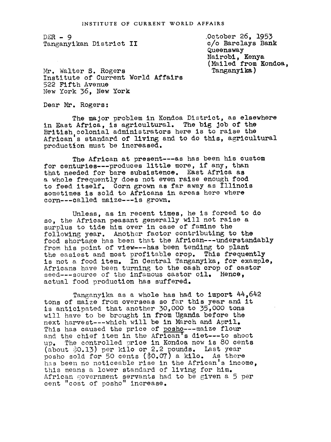$DER - 9$ Tanganyikan District II October 26, 1953 c/o Barclays Bank Queensway Nalrobi, Kenya (Mailed from Kondoa, Tangany**ika**)

Mr. Walter S. Rogers Institute of Current World Affairs 522 Fifth Avenue New York 36, New York

Dear Mr. Rogers

The major problem in Kondoa District, as elsewhere in East Africa, is agricultural. The big job of the British colonial administrators here is to raise the African's standard of living and to do this, agricultural production must be increased.

The African at present---as has been his custom for centuries---produces little more, if any, than that needed for bare subsistence. East Africa as a whole frequently does not even raise enough food to feed itself. Corn grown as far away as Illinois sometimes is sold to Africans in areas here where corn---called maize---is grown.

Unless, as in recent times, he is forced to do so, the African peasant generally will not raise a surplus to tide him over in case of famine the following year. Another factor contributing to the food shortage has been that the African---understandably from his point of view --- has been tending to plant the easiest and most profitable crop. This frequently is not a food item. In Central Tanganyika, for example, Africans have been turning to the cash crop of castor seed---source of the infamous castor oil. Hence, actual food production has suffered.

Tanganyika as a whole has had to import 44,642 tons of maize from overseas so far this year and it is anticipated that another 30,000 to 35,000 tons will have to be brought in from Uganda before the next harvest---which will be in March and April. This has caused the price of posho---maize flour and the chief item in the African's diet---to shoot up. The controlled price in Kondoa now is 80 cents (about 0.13) per kilo or 2.2 pounds. Last year posho sold for 50 cents (\$O.07) a kilo. As there has been no noticeable rise in the African's income, this means a lower standard of living for him. African government servants had to be given a  $5$  per cent 'cost of posho" increase.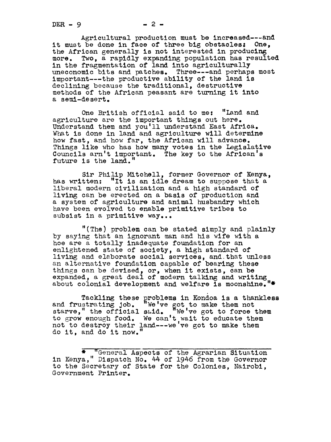Agricultural production must be increased---and<br>the done in face of three big obstacles: One. it must be done in face of three big obstacles: the African generally is not interested in producing more. Two, a rapidly expanding population has resulted in the fragmentation of land into agriculturally uneconomic bits and patches. Three---and perhaps most important---the productive ability of the land is declining because the traditional, destructive methods of the African peasant are turning it into a seml-desert.

One British official said to me: "Land and agriculture are the important things out here. Understand them and you'll understand East Africa. What is done in land and agriculture will determine how fast, and how far, the African will advance. Things like who has how many votes in the Legislative Councils arn't important. The key to the African's future is the land."

Sir Philip Mitchell, former Governor of Kenya, has written: "It is an idle dream to suppose that a liberal modern civilization and a high standard of living can be erected on a basis of production and a system of agriculture and animal husbandry which have been evolved to enable primitive tribes to subsist in a primitive way...

"(The) problem can be stated simply and plainly by saying that an ignorant man and his wife with a hoe are a totally inadequate foundation for an enlightened state of society, a high standard of living and elaborate social services, and.that unless an alternative foundation capable of bearing these things can be devised, or, when it exists, can be expanded, a great deal of modern talking and writln about colonial development and welfare is moonshine."\*

Tackling these problems in Kondoa is a thankless and frustrating Job. "We've got to make them not starve," the official said.  $"$  We've got to force them to grow enough food. We can't wait to educate them not to destroy their land---we've got to make them do it, and do it now.

\* "General Aspects of the Agrarian Situation in Kenya," Dispatch No. 44 of 1946 from the Governor to the Scretary of State for the Colonies, Nairobl, Government Printer.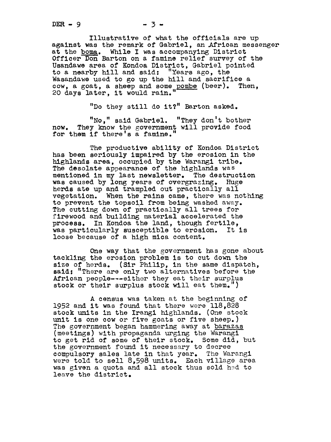Illustrative of what the officials are up against was the remark of Gabriel, an African messenger at the boma. While I was accompanying District Officer Don Barton on a famine relief survey of the Usandawe area of Kondoa District, Gabriel pointed to a nearby hill and said: "Years ago, the Wasandawe used to go up the hill and sacrifice a cow, a goat, a sheep and some pombe (beer). Then, 20 days later, it would rain.

"Do they still do it?" Barton asked.

"No," said Gabriel. "They don't bother now. They know the government will provide food for them if there's a famine.

The productive ability of Kondoa District has been seriously impaired by the erosion in the highlands area, occupied by the Warangi tribe. The desolate appearance of the highlands was mentioned in my last newsletter. The destruction was caused by long years of overgrazlng. Huge herds ate up and trampled out practically all vegetation. When the rains came, there was nothing to prevent the topsoil from being washed away. The cutting down of practically all trees for firewood and building material accelerated the process. In Kondoa the land, though fertile, was particularly susceptible to erosion. It is loose because of a high mica content.

One way that the government has gone about tackling the erosion problem is to cut down the size of herds. (Sir Philip, in the same dispatch, said: "There are only two alternatives before the African people---either they eat their surplus stock or their surplus stock will eat them.")

A census was taken at the beginning of 1952 and it was found that there were  $118,828$ stock units in the Irangi highlands. (One stock unit is one cow or five goats or five sheep.) The government began hammering away at barazas (meetings) with propaganda urging the Warangito get rid of some of their stock. Some did, but the government found it necessary to decree compulsory sales late in that year. The Warangi were told to sell 8.598 units. Each village area was given a quota and all stock thus sold hed to leave the district.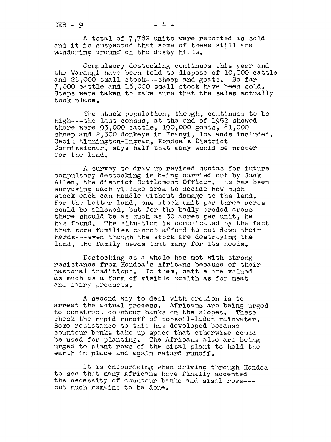A total of 7,782 units were reported as sold and it is suspected that some of these still are wandering around on the dusty hills.

Compulsory destocking continues this year and the Warangi have been told to dispose of lO,O00 cattle and 26,000 small stock---sheep and goats. So far 7,000 cattle and 16,000 small stock have been sold. Steps were taken to make sure that the sales actually took place.

The stock population, though, continues to be high---the last census, at the end of 1952 showed there were 93,000 cattle, 190,000 goats, 81,000 sheep and 2,500 donkeys in Irangi, lowlands included. Cecil Winnington-Ingram, Kondoa's District Commissioner, says half that many would be proper for the land.

A survey to draw up revised quotas for future compulsory destocking is being carried out by Jack Allen, the district Settlement Officer. He has been surveying each village area to decide how much stock each can handle without damage to the land. For the better land, one stock unit per three acres could be allowed, but for the badly eroded areas there should be as much as 30 acres per unit, he has found. The situation is complicated by the fact that some families cannot afford to cut down their herds---even though the stock are destroying the land, the family needs that many for its needs.

Destocking as a whole has met with strong resistance from Kondoa's Africans because of their pastoral traditions. To them, cattle are valued as much as a form of visible wealth as for meat and dairy products.

A second way to deal with erosion is to arrest the actual process. Africans are being urged to construct countour banks on the slopes. These check the rapid runoff of topsoil-laden rainwater. Some resistance to this has developed because countour banks take up space that otherwise could be used for planting. The Africans also are being urged to plant rows of the sisal plant to hold the earth in place and again retard runoff.

It is encouraging when driving through Kondoa to see that many Africans have finally accepted the necessity of countour banks and sisal rows-- but much remains to be done.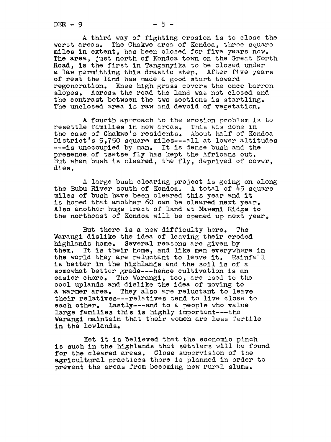$DER - 9$   $-5-$ 

A third way of fighting erosion is to close the worst areas. The Chakwe area of Kondoa, three square miles in extent, has been closed for five years now. The area, Just north of Kondoa town on the Great North Road, is the first in Tanganyika to be closed under a law permitting this drastic step. After five years of rest the land has made a good start toward regeneration. Knee high grass covers the once barren slopes. Across the road the land was not closed and the contrast between the two sections is startling. The unclosed area is raw and devoid of vegetation.

A fourth aporoach to the erosion problem is to resettle families in new areas. This was done in the case of Chakwe's residents. About half of Kondoa District's 5,750 square miles---all at lower altitudes ---is unoccupied by man. It is dense bush and the presence, of tsetse fly has kept the Africans out. But when bush is cleared, the fly, deprived of cover, dies.

A large bush clearing project is going on along the Bubu River south of Kondoa. A total of 45 square miles of bush have been cleared this year and it is hoped that another 60 can be cleared next year. Also another huge tract of land at Maweni Ridge to the northeast of Kondoa will be opened up next year.

But there is a new difficulty here. The Warangi dislike the idea of leaving their eroded highlands home. Several reasons are given by them. It is their home, and like men everywhere in the world they are reluctant to leave it. Rainfall is better in the highlands and the soil is of a somewhat better grade---hence cultivation is an easier chore. The Warangi, too, are used to the cool uplands and dislike the idea of moving to a warmer area. They also are reluctant to leave their relatives---relatives tend to live close to each other. Lastly---and to a people who value large families this is highly important---the Warangi maintain that their women are less fertile in the lowlands,

Yet it is believed that the economic pinch is such in the highlands that settlers will be found for the cleared areas. Close supervision of the agricultural practices there is planned in order to prevent the areas from becoming new rural slums.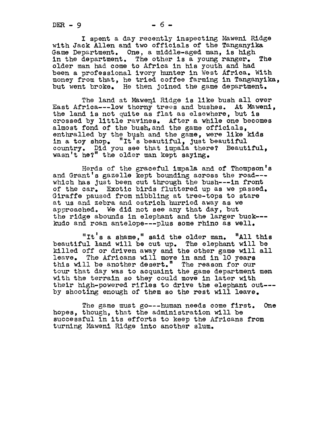I spent a day recently inspecting Mawenl Ridge with Jack Allen and two officials of the Tanganyika Game Department. One, a middle-aged man, is high in the department. The other is a young ranger. The older man had come to Africa in his youth and had been a professional ivory hunter in West Africa. With money from that, he tried coffee farming in Tanganyika, but went broke. He then Joined the game department.

The land at Maweni Ridge is like bush all over East Afrlca---low thorny trees and bushes. At Mawenl, the land is not quite as flat as elsewhere, but is crossed by little ravines. After a while one becomes almost fond of the bush, and the game officials, enthralled by the bush and the game, were like kids in a toy shop. "It's beautiful, just beautiful country. Did you see that impala there? Beautiful, wasn't he?" the older man kept saying.

Herds of the graceful impala and of Thompson's and Grant's gazelle kept bounding across the road--which has just been cut through the bush---in front of the car. Exotic birds fluttered up as we passed. Giraffe paused from nibbling at tree-tops to stare at us and zebra and ostrich hurried away as we approached. We did not see any that day, but the ridge abounds in elephant and the larger buck-- kudo and roan antelope---plus some rhino as well.

"It's a shame," said the older man. "All this beautiful land will be cut up. The elephant will be killed off or driven away and the other game will all leave. The Africans will move in and In 'lO years this will be another desert." The reason for our tour that day was to acquaint the game department men with the terrain so they could move in later with their high-powered rifles to drive the elephant out-- by shooting enough of them so the rest will leave.

The game must go---human needs come first. One hopes, though, that the administration will be successful in its efforts to keep the Africans from turning Maweni Ridge into another slum.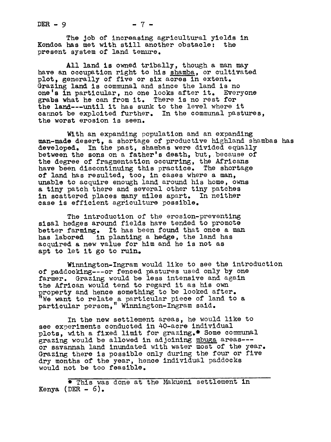The Job of increasing agricultural yields in Kondoa has met with still another obstacle: the present system of land tenure.

All land is owned tribally, though a man may have an occupation right to his shamba, or cultivated plot, generally of five or six acres in extent. Grazing land is communal and since the land is no one's in particular, no one looks after it. Everyone grabs what he can from it. There is no rest for the land---until it has sunk to the level where it cannot be exploited further. In the communal pastures, the worst erosion is seen.

With an expanding population and an expanding man-made desert, a shortage of productive highland shambas has developed. In the past, shambas were divided equally In the past, shambas were divided equally between the sons on a father's death, but, because of the degree of fragmentation 9ccurring, the Africans have been discontinuing this practice. The shortage of land has resulted, too, in cases where a man, unable to acquire enough land around his home, owns a tiny patch there and several other tiny patches in scattered places many miles apart. In neither case is efficient agriculture possible.

The introduction of the erosion-preventing sisal hedges around fields have tended to promote better farming. It has been found that once a man has labored in planting a hedge, the land has in planting a hedge, the land has acquired a new value for him and he is not as apt to let it go to ruin.

Winnington-Ingram would like to see the introduction of paddocking---or fenced pastures used only by one farmer. Grazing would be less intensive and again the African would tend to regard it as his own roperty and hence something to be looked after. We want to relate a particular piece of land to a particular person," Winnington-Ingram said.

In the new settlement areas, he would like to see experiments conducted in 40-acre individual plots, with a fixed limit for grazing.\* Some communal grazing would be allowed in adjoining mbuga areas--or savannah land inundated with water most of the year. Grazing there is possible only during the four or five dry months of the year, hence individual paddocks would not be too feasible.

\* This was done at the Makueni settlement in Kenya (DER  $- 6$ ).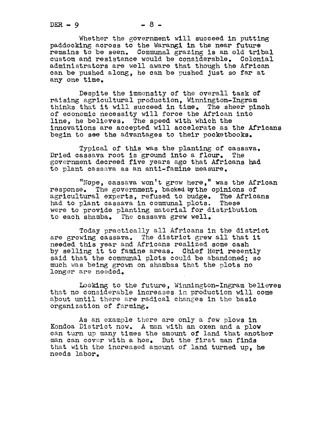Whether the government will succeed in putting paddocking across to the Warangi in the near future remains to be seen. Communal grazing is an old tribal custom and resistance would be considerable. Colonial administrators are well aware that though the African can be pushed along, he can be pushed Just so far at any one time.

Despite the immensity of the overall task of raising agricultural production, Winnington-Ingram thinks that it will succeed in time. The sheer pinch of economic necessity will force the African into line, he believes. The speed with which the innovations are accepted will accelerate as the Africans begin to see the advantages to their pocketbooks.

Typical of this was the planting of cassava. Dried cassava root is ground into a flour. The government decreed five years ago that Africans had to plant cassava as an anti-famine measure.

"Nope, cassava won't grow here," was the African response. The government, backed bythe opinions of agricultural experts, refused to budge. The Africans had to plant cassava in communal plots. These were to provide planting material for distribution to each shamba. The cassava grew well.

Today practically all Africans in the district are growing cassava. The district grew all that it needed this year and Africans realized some cash by selling it to famine areas. Chief Heri recently said that the communal plots could be abandoned; so much was being grown on shambas that the plots no longer are needed.

Looking to the future, Winnington-Ingram believes that no considerable increases im production will come about until there are radical changes in the basic organization of farming.

As an example there are only a few plows in Kondoa District now. A man with an oxen and a plow can turn up many times the amount of land that another man can cover with a hoe. But the first man finds that with the increased amount of land turned up, he needs labor.